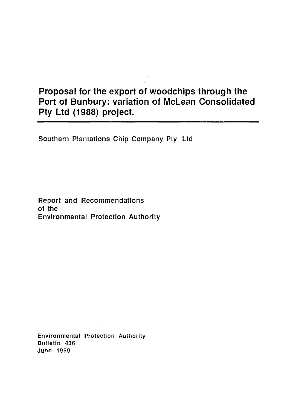# **Proposal for the export of woodchips through the Port of Bunbury: variation of Mclean Consolidated Pty Ltd (1988) project.**

Southern Plantations Chip Company Pty Ltd

Report and Recommendations of the Environmental Protection Authority

Environmental Protection Authority Bulletin 436 June 1990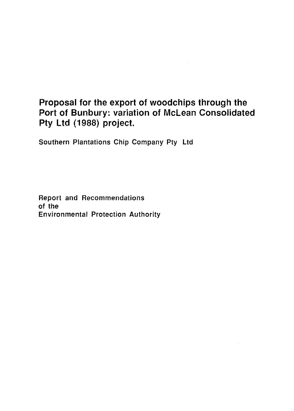# Proposal for the export of woodchips through the Port of Bunbury: variation of Mclean Consolidated Pty Ltd (1988) project.

Southern Plantations Chip Company Pty Ltd

Report and Recommendations of the Environmental Protection Authority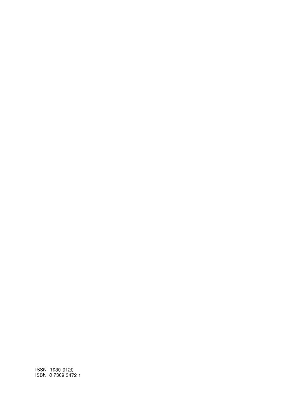ISSN 1030-0120 ISBN 0 7309 3472 1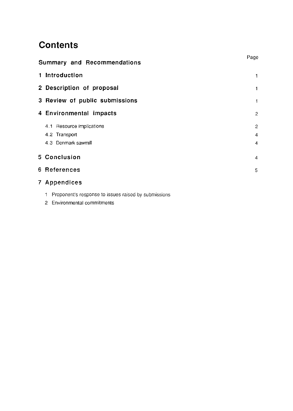# **Contents**

| Summary and Recommendations    | Page           |
|--------------------------------|----------------|
| 1 Introduction                 | $\mathbf 1$    |
| 2 Description of proposal      | 1              |
| 3 Review of public submissions | $\mathbf{1}$   |
| 4 Environmental impacts        | $\mathbf{2}$   |
| 4.1 Resource implications      | $\overline{c}$ |
| 4.2 Transport                  | $\overline{4}$ |
| 4.3 Denmark sawmill            | 4              |
| 5 Conclusion                   | $\overline{4}$ |
| <b>6 References</b>            | 5              |
| 7 Appendices                   |                |

- 1 Proponent's response to issues raised by submissions
- 2 Environmental commitments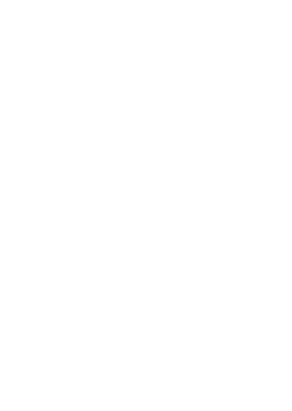$\label{eq:2.1} \frac{1}{\sqrt{2}}\left(\frac{1}{\sqrt{2}}\right)^{2} \left(\frac{1}{\sqrt{2}}\right)^{2} \left(\frac{1}{\sqrt{2}}\right)^{2} \left(\frac{1}{\sqrt{2}}\right)^{2} \left(\frac{1}{\sqrt{2}}\right)^{2} \left(\frac{1}{\sqrt{2}}\right)^{2} \left(\frac{1}{\sqrt{2}}\right)^{2} \left(\frac{1}{\sqrt{2}}\right)^{2} \left(\frac{1}{\sqrt{2}}\right)^{2} \left(\frac{1}{\sqrt{2}}\right)^{2} \left(\frac{1}{\sqrt{2}}\right)^{2} \left(\$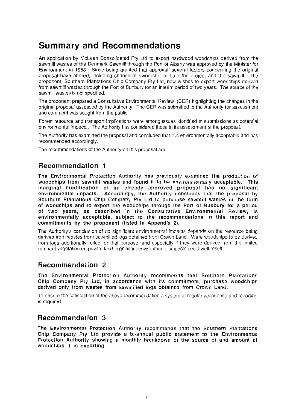# **Summary and Recommendations**

An application by Mclean Consolidated Ply Ltd to export hardwood woodchips derived from the sawmill wastes of the Denmark Sawmill through the Port of Albany was approved by the Minister for Environment in 1988. Since being granted that approval, several factors concerning the original proposal have altered, including change of ownership of both the project and the sawmill. The proponent, Southern Plantations Chip Company Ply Ltd, now wishes to export woodchips derived from sawmill wastes through the Port of Bunbury tor an interim period of two years. The source of the sawmill wastes is not specified.

The proponent prepared a Consultative Environmental Review (CER) highlighting the changes in the original proposal assessed by the Authority. The CER was submitted to the Authority for assessment and comment was sought from the public.

Forest resource and transport implications were among issues identified in submissions as potential environmental impacts. The Authority has considered these in its assessment of the proposaL

The Authority has examined the proposal and concluded that it is environmentally acceptable and has recommended accordingly.

The recommendations of the Authority on this proposal are:

### Recommendation 1

The Environmental Protection Authority has previously examined the production of woodchips from sawmill wastes and found it to be environmentally acceptable. This **marginal modification of an already approved proposal has no significant**  environmental impacts. Accordingly, the Authority concludes that the proposal by Southern Plantations Chip Company Ply Ltd to purchase sawmill wastes in the form of woodchips and to export the woodchips through the Port of Bunbury for a period of two years, as described in the Consultative Environmental Review, is environmentally acceptable, subject to the recommendations in this report and commitments by the proponent (listed in Appendix 2).

The Authority's conclusion of no significant environmental impacts depends on the resource being derived from wastes from sawmilled logs obtained from Crown Land. Were woodchips to be derived from iogs additionally felled for that purpose, and especially if they were derived from the limited remnant vegetation on private land, significant environmental impacts could well result.

### Recommendation 2

The Environmental Protection Authority recommends that Southern Plantations Chip Company Ply Ltd, in accordance with its commitment, purchase woodchips derived only from wastes from sawmilled logs obtained from Crown Land.

To ensure the satisfaction of the above recommendation a system of regular accounting and reporting ls required.

### Recommendation 3

The Environmental Protection Authority recommends that the Southern Plantations Chip Company Pty Ltd provide a bi-annual public statement to the Environmental Protection Authority showing a monthly breakdown of the source of and amount of **woodchips it is exporting.**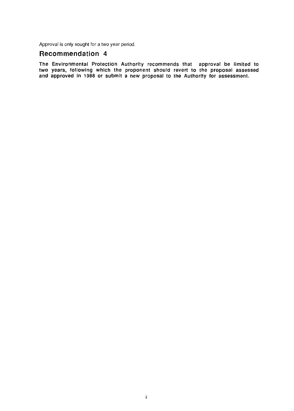Approval is only sought for a two year period.

### **Recommendation** 4

The Environmental Protection Authority recommends that approval be limited to two years, following which the proponent should revert to the proposal assessed and approved in 1988 or submit a new proposal to the Authority for assessment.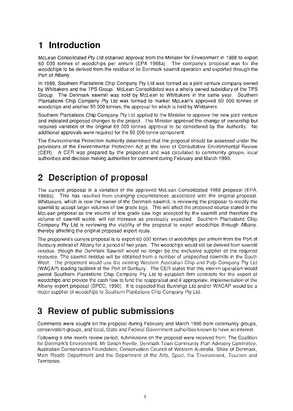# **1 Introduction**

McLean Consolidated Pty Ltd obtained approval from the Minister for Environment in 1988 to export 60 000 tonnes of woodchips per annum (EPA 1988a). The company's proposal was for the woodchips to be derived from the residue of its Denmark sawmill operation and exported through the Port of Albany.

In 1989, Southern Plantations Chip Company Pty Ltd was formed as a joint venture company owned by Whittakers and the TPS Group. McLean Consolidated was a wholly owned subsidiary of the TPS Group. The Denmark sawmill was sold by Mclean to Whittakers in the same year. Southern Plantations Chip Company Pty Ltd was formed to market Mclean's approved 60 000 tonnes of woodchips and another 50 000 tonnes, the approval for which is held by Whittakers.

Southern Plantations Chip Company Pty Ltd applied to the Minister to approve the new joint venture and indicated proposed changes to the project. The Minister approved the change of ownership but required variation of the original 60 000 tonnes approval to be considered by the Authority. No additional approvals were required for the 50 000 tonne component.

The Environmental Protection Authority determined that the proposal should be assessed under the provisions of the Environmental Protection Act at the level of Consultative Environmental Review (CER). A CER was prepared by the proponent and was circulated to community groups, local authorities and decision making authorities for comment during February and March 1990.

# **2 Description of proposal**

The current proposai is a variation oi the approved Mclean Consolidated 1988 proposal (EPA, **1988a). This has resu!ted from changing circumstances associated with the original proposaL**  Whittakers, which is now the owner of the Denmark sawmill, is reviewing the proposal to modify the sawmill to accept larger volumes of low grade logs. This will affect the proposed source stated in the Mclean proposal as the volume of low grade saw logs accepted by the sawmill and therefore the volume of sawmill waste, wil! not increase as previously expected. Southern Plantations Chip Company Ply Ltd is reviewing the viability of the proposal to export woodchips through Albany, thereby affecting the original proposed export route.

The proponent's current proposal is to export 60 000 tonnes of woodchips per annum from the Port of Bunbury instead of Albany for a period of two years. The woodchips would still be derived from sawmili residue, though the Denmark Sawmill would no longer be the exclusive supplier of the required **resource. The savvmill residue will be obtained from a number of unspeciiied sawmilis in the South West.** The proponent would use the existing Western Australian Chip and Pulp Company Pty Ltd (WACAP) loading facilities at the Port of Bunbury. The CER states that this interim operation would permit Southern Plantations Chip Company Pty Ltd to establish firm contracts for the export of woodchips and provide the cash flow to fund the reappraisal and if appropriate, implementation of the Albany export proposal (SPCC, 1990). it is expected that Bunnings Ud and/or WACAP would be a **major supplier of woodchips to Southern Plantations Chip Company Pty Ltd.** 

# **3 Review of public submissions**

Comments were sought on the proposal during February and March 1990 from community groups, conservation groups, and local, State and Federal Government authorities known to have an interest.

Following a one month review period, submissions on the proposal were received from: The Coalition for Denmark's Environment, Mr Simon Neville, Denmark Town Community Plan Advisory Committee, Australian Conservation Foundation, Conservation Council of Western Australia, Shire of Denmark, **Main Roads Department and the Department of the Arts, Sport, the Environment, Tourisrn and**  Territories.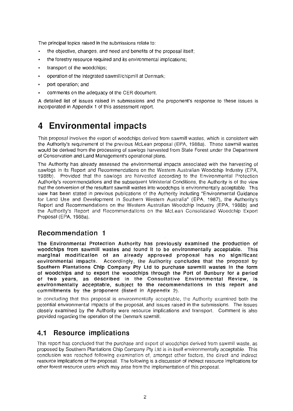The principal topics raised in the submissions relate to:

- the objective, changes, and need and benefits of the proposal itself;
- the forestry resource required and its environmental implications;
- transport of the woodchips;
- operation of the integrated sawmill/chipmill at Denmark;
- pori operation; and
- comments on the adequacy of the CER document.

A detailed list of issues raised in submissions and the proponent's response to these issues is incorporated in Appendix 1 of this assessment report.

## 4 Environmental impacts

This proposal involves the export of woodchips derived from sawmill wastes, which is consistent with the Authority's requirement of the previous Mclean proposal (EPA, 1988a). These sawmill wastes would be derived from the processing of sawlogs harvested from State Forest under the Department of Conservation and Land Management's operational plans.

The Authority has already assessed the environmental impacts associated with the harvesting of sawlogs in its Report and Recommendations on the Western Australian Woodchip Industry (EPA, 1988b). Provided that the sawlogs are harvested according to the Environmental Protection Authority's recommendations and the subsequent Ministerial Conditions, the Authority is of the view that the conversion of the resultant sawmill wastes into woodchips is environmentally acceptable. This view has been stated in previous publications of the Authority including "Environmental Guidance for Land Use and Development in Southern Western Australia" (EPA, 1987), the Authority's Report and Recommendations on the Western Australian Woodchip Industry (EPA, 1988b) and the Authority's Report and Recommendations on the McLean Consolidated Woodchip Export Proposal (EPA, 1988a).

### Recommendation 1

The Environmental Protection Authority has previously examined the production of woodchips from sawmill wastes and found it to be environmentally acceptable. This marginal modification of an already approved proposal has no significant environmental impacts. Accordingly, ihe Authority concludes that the proposa! by Southern Plantations Chip Company Pty Ltd to purchase sawmill wastes in the form of woodchips and to export the woodchips through the Port of Bunbury for a period of two years, as described in the Consultative Environmental Review, is environmentally acceptable, subject to the recommendations in this report and commitments by the proponent (listed in Appendix 2).

In concluding that this proposal is environmentally acceptable, the Authority examined both the potential environmental impacts of the proposal, and issues raised in the submissions. The issues closely examined by the Authority were resource implications and transport. Comment is also provided regarding the operation of the Denmark sawmill.

## 4.1 Resource implications

This report has concluded that the purchase and export of woodchips derived from sawmill waste, as proposed by Southern Plantations Chip Company Pty Ltd is in itself environmentally acceptable. This conclusion was reached following examination of, amongst other factors, the direct and indirect resource implications of the proposal. The following is a discussion of indirect resource implications for other forest resource users which may arise from the implementation of this proposal.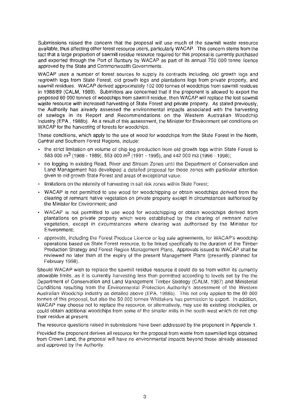Submissions raised the concern that the proposal will use much of the sawmill waste resource available, thus affecting other forest resource users, particularly WACAP. This concern stems from the fact that a large proportion of sawmill residue resource required for this proposal is currently purchased and exported through the Port of Bunbury by WACAP as part of its annual 750 000 tonne licence approved by the State and Commonwealth Governments.

WACAP uses a number of forest sources to supply its contracts including, old growth logs and regrowth logs from State Forest, old growth logs and plantations logs from private property, and sawmill residues. WACAP derived approximately 102 000 tonnes of woodchips from sawmill residues in 1988/89 (CALM, 1989). Submittors are concerned that if the proponent is allowed to export the proposed 60 000 tonnes of woodchips from sawmill residue, then WACAP will replace the lost sawmill waste resource with increased harvesting of State Forest and private property. As stated previously, the Authority has already assessed the environmental impacts associated with the harvesting of sawlogs in its Report and Recommendations on the Western Australian Woodchip Industry (EPA, 1988b). As a result of this assessment, the Minister for Environment set conditions on WACAP for the harvesting of forests for woodchips.

These conditions, which apply to the use of wood for woodchips from the State Forest in the North, Centra! and Southern Forest Regions, include:

- the strict limitation on volume of chip log production from old growth logs within State Forest to 583 000 m<sup>3</sup> (1988 - 1989), 553 000 m<sup>3</sup> (1991 - 1995), and 442 000 m3 (1996 - 1998);
- no logging in existing Road, River and Stream Zones until the Department of Conservation and Land Management has developed a detailed proposal for those zones with particular attention given to old growth State Forest and areas of exceptional value;
- limitations on the intensity of harvesting in salt risk zones within State Forest;
- WACAP is not permitted to use wood for woodchipping or obtain woodchips derived from the clearing of remnant native vegetation on private property except in circumstances authorised by the Minister for Environment; and
- WACAP is noi permiited to use wood ior woodchipping or obtain woodchips derived irom plantations on private property which were established by the clearing of remnant native vegetation, except in circumstances where clearing was authorised by the Minister for Environment;
- approvals, including the Forest Produce Licence or log sale agreements, for WACAP's woodchip operations based on State Forest resource, to be !inked specifically to the duration of the Timber Production Strategy and Forest Region Management Plans, Approvals issued to WACAP shall be reviewed no later than at the expiry of the present Management Plans (presently planned for February 1998)

Should WACAP wish to replace the sawmill residue resource it could do so from within its currently allowable limits, as it is currently harvesting less than permitted according to levels set by the the Department of Conservation and Land Management Timber Strategy (CALM, 1987) and Ministerial Conditions resulting from the Environmental Protection Authority's assessment of the Western Australian Woodchip Industry as detailed above (EPA, 1988b). This not only applies to the 60 000 tonnes of this proposal, but also the 50 000 tonnes Whittakers has permission to export. In addition, WACAP may choose not to replace the resource, or alternatively, may use its existing stockpiles, or could obtain additional woodchips from some of the smaller mills in the south west which do not chip their residue at present.

The resource questions raised in submissions have been addressed by the proponent in Appendix 1.

Provided the proponent derives all resource for the proposal from waste from sawmilled logs obtained from Crown Land, the proposal will have no environmental impacts beyond those already assessed and approved by the Authority.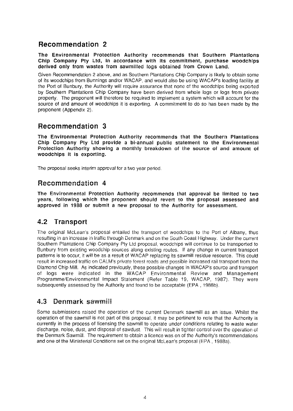## **Recommendation 2**

The Environmental Protection Authority recommends that Southern Plantations Chip Company Pty Ltd, in accordance with its commitment, purchase woodchips derived only from wastes from sawmilled logs obtained from Crown Land.

Given Recommendation 2 above, and as Southern Plantations Chip Company is likely to obtain some of its woodchips from Bunnings and/or WACAP. and would also be using WACAP's loading facility at the Port of Bunbury, the Authority will require assurance that none of the woodchips being exported by Southern Plantations Chip Company have been derived from whole logs or logs from private property. The proponent will therefore be required to implement a system which will account for the source of and amount of woodchips it is exporting. A commitment to do so has been made by the proponent (Appendix 2).

### **Recommendation 3**

The Environmental Protection Authority recommends that the Southern Plantations Chip Company Ply Ltd provide a bi-annual public statement to the Environmental Protection Authority showing a monthly breakdown of the source of and amount of woodchips it is exporting.

The proposal seeks interim approval for a two year period.

### **Recommendation 4**

The Environmental Protection Authority recommends that approval be limited to two years, following which the proponent should revert to the proposal assessed and approved in 1988 or submit a new proposal to the Authority for assessment.

## **4.2 Transport**

The original McLean's proposal entailed the transport of woodchips to the Port of Albany, thus resulting in an increase in traffic through Denmark and on the South Coast Highway. Under ihe current Southern Plantations Chip Company Pty Ltd proposal, woodchips will continue to be transported to Bunbury from existing woodchip sources along existing routes. If any change in current transport patterns is to occur, it will be as a result of WACAP replacing its sawmill residue resource. This could result in increased traffic on CALM's private forest roads and possible increased rail transport from the Diamond Chip Mill. As indicated previously, these possible changes in WACAP's source and transport of logs were indicated in the WACAP Environmental Review and Management Programme/Environmental Impact Statement (Refer Table 19, WACAP, 1987). They were subsequently assessed by the Authority and found to be acceptable (EPA, 1988b).

## 4.3 Denmark sawmiii

Some submissions raised the operation of the current Denmark sawmill as an issue. Whilst the operation of the sawmill is not part of this proposal, it may be pertinent to note that the Authority is currently in the process of licensing the sawmill to operate under conditions relating to waste water discharge, noise, dust, and disposal of sawdust. This will result in tighter control over the operation of the Denmark Sawmill. The requirement to obtain a licence was on of the Authority's recommendations and one of the Ministerial Conditions set on the original McLean's proposal (EPA, 1988a).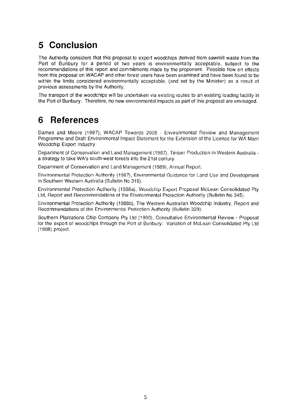# **5 Conclusion**

The Authority considers that this proposal to export woodchips derived from sawmill waste from the Port of Bunbury for a period of two years is environmentally acceptable, subject to the recommendations of this report and commitments made by the proponent. Possible flow on effects from this proposal on WACAP and other forest users have been examined and have been found to be within the limits considered environmentally acceptable, (and set by the Minister) as a result of previous assessments by the Authority.

The transport of the woodchips will be undertaken via existing routes to an existing loading facility in the Port of Bunbury. Therefore, no new environmental impacts as part of this proposal are envisaged.

## **6 References**

Dames and Moore (1987), WACAP Towards 2005 · Environmental Review and Management Programme and Draft Environmental Impact Statement for the Extension of the Licence for WA Marri Woodchip Export Industry.

**Department of Conservation and Land Management (1987), Timber Production in Western Australia**a strategy to take WA's south-west forests into the 21st century.

Department of Conservation and Land Management (1989), Annual Report.

**Environmental Protection Authority (1987), Environmental Guidance for Land Use and Devetopment**  in Southern Western Australia (Bulletin No 319).

**Environmental Protection Authority (1988a), Woodchip Export Proposal McLean Consolidated Pty** Ltd, Report and Recommendations of the Environmental Protection Authority (Bulletin No 345).

Environmental Protection Authority (1988b), The Western Australian Woodchip Industry, Report and Recommendations of the Environmental Protection Authority (Bulletin 329).

Southern Plantations Chip Company Pty Ltd (1990), Consultative Environmental Review· Proposal for the export of woodchips through the Port of Bunbury: Variation of Mclean Consolidated Pty Ltd (1988) project.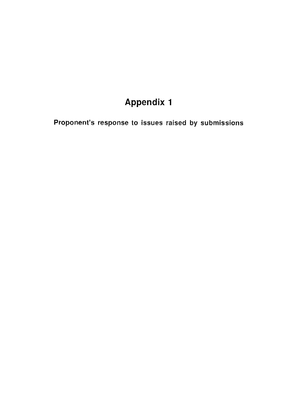# **Appendix 1**

Proponent's response to issues raised by submissions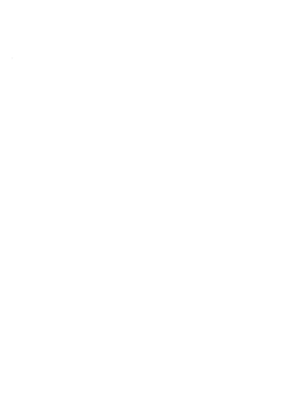$\label{eq:2.1} \frac{1}{\sqrt{2}}\int_{\mathbb{R}^3}\frac{1}{\sqrt{2}}\left(\frac{1}{\sqrt{2}}\right)^2\frac{1}{\sqrt{2}}\left(\frac{1}{\sqrt{2}}\right)^2\frac{1}{\sqrt{2}}\left(\frac{1}{\sqrt{2}}\right)^2.$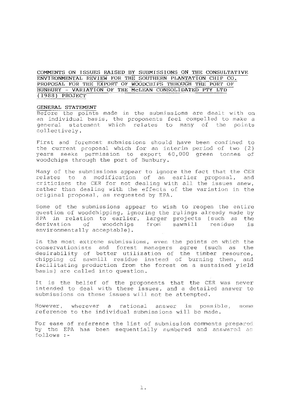### COMMENTS ON ISSUES RAISED BY SUBMISSIONS ON THE CONSULTATIVE ENVIRONMENTAL REVIEW FOR THE SOUTHERN PLANTATION CHIP CO. PROPOSAL FOR THE EXPORT OF WOODCIIIPS THROUGH THE PORT OF BUNBURY - VARIATION OF THE McLEAN CONSOLIDATED PTY LTD (1988) PROJECT

#### GENERAL STATEMENT

Before the points made in the submissions are dealt with on an individual basis, the proponents feel compelled to make a<br>general statement which relates to many of the points general statement which relates to many of the collectively.

First and foremost submissions should have the current proposal which for an interim years seeks permission to export 60,000 green tonnes of woodchips through the port of Bunbury. been period confined of two to ( 2 )

Many of the submissions appear to ignore the fact that the CER relates to a modification of an earlier proposal, and criticises the CER for not dealing with all the issues anew, rather than dealing with the effects of the variation in the original proposal, as requested by EPA.

Some of the submissions appear to wish to reopen the entire question of woodchipping, ignoring the rulings already made by EPA in relation to earlier, larger projects (such as the derivation of woodchips from sawmill residue is environmentally acceptable).

In the most extreme submissions, even the points on which the conservationists and forest managers agree (such as the desirability of better utilization of the timber resource, chipping of sawmill residue instead of burning them, and facilitating production from the forest on a sustained yield basis) are called into question.

It is the belief of the proponents that the CER was never intended to deal with these issues, and a detailed answer to submissions on these issues will not be attempted.

However, reference to the individual submissions will be made. wherever a rational answer is possible, some

For ease of reference the list of submission comments prepared by the EPA has been sequentially numbered and answered as follows :-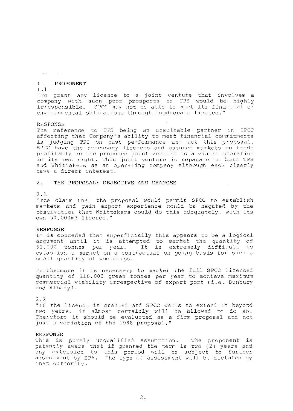**Carlos Contracto** 

#### l. PROPONENT

 $1.1$ 

"To grant any licence to a joint venture that involves a company with such poor prospects as TPS would be highly irresponsible. SPCC may not be able to meet its financial or environmental obligations through inadequate finance."

#### RESPONSE

The reference to TPS being an unsuitable partner in SPCC affecting that Company's ability to meet financial commitments is judging TPS on past performance and not this proposal. SPCC have the necessary licences and assured markets to trade profitably so the proposed joint venture is a viable operation in its own right. This joint venture is separate to both TPS and Whittakers as an operating company although each clearly have a direct interest.

#### 2. THE PROPOSAL: OBJECTIVE AND CHANGES

#### 2.1

"The claim that the proposal would permit SPCC to establish markets and gain export experience could be negated by the observalion that Whittakers could do this adequately, with its own 50,000m3 licence."

#### RESPONSE

It is conceded that superficially this appears to be a logical It is conceded that superficially this appears to be a rogical<br>argument until it is attempted to market the quantity of 50,000 tonnes per year. It is extremely difficult to 50,000 tonnes per year. It is extremely difficult to<br>establish a market on a contractual on going basis for such a small quantity of woodchips.

Furthermore it is necessary to market the full SPCC licenced quantity of 110.000 green tonnes per year to achieve maximum commercial viability irrespective of export port (i.e. Bunbury and Albany).

#### 2.2

"If the licence is granted and SPCC wants to extend it beyond two years, it almost certainly will be allowed to do so. Therefore it should be evaluated as a firm proposal and not just a variation of the 1988 proposal.''

#### RESPONSE

This is purely unqualified assumption. The proponent is patently aware that if granted the term is two (2) years and any extension to this period will be subject to further assessment by EPA. The type of assessment will be dictated by that Authority.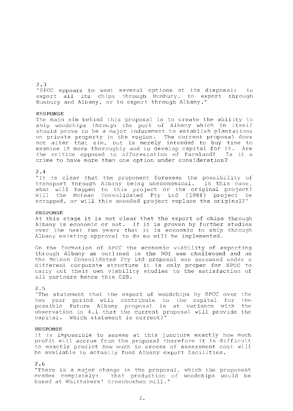#### 2.3

"SPCC appears to want several options at its disposal: to export all its chips through Bunbury, to export through Bunbury and Albany, or to export through Albany."

#### RESPONSE

The main aim behind this proposal is to create the ability to ship woodchips through the port of Albany which in itself should prove to be a major inducement to establish plantations on private property in the region. The current proposal does on private property in the region. The carrent proposar acce examine it more thoroughly and to develop capital for it. Are<br>the critics opposed to afforestation of farmland? Is it a the critics opposed to afforestation of farmland? crime to have more than one option under consideration?

#### 2.4

...<br>"It is clear that the proponent foresees the possibility of transport through Albuny being uneconomical. In this case, what will happen to this project or the original project? will the McLean Consolidated Pty Ltd (1988) project be scrapped, or will this amended project replace the original?''

#### RESPONSE

At this stage it is not clear that the export of chips through At this stage it is not clear that the export of chips<br>Albany is economic or not. If it is proven by further Albany is economic of not. If it is proven by further<br>over the next two years that it is economic to ship Albany existing approval to do so will be implemented. studies through

On the formation of SPCC the economic viability of exporting through Albany as outlined in the NOI was challenged and as the McLean Consolidated Pty Ltd proposal was assessed under a differenl corporate structure it is only proper for SPCC to arriclent corporate stracture it is only proper for site to all partners hence this CER.

#### 2.5

''The statement that the export of woodchips by SPCC over the two year period will contribute to the capital for the possible future Albany proposal is at variance with the observation in 4.1 that the current proposal will provide the capital. Which statement is correct?"

#### RESPONSE

It is impossible to assess at this juncture exactly how much profit will accrue from the proposal therefore it is difficult to exactly predict how much in excess of assessment cost will be available to actually fund Albany export facilities.

#### 2.6

''There is a major change in the proposal, which the proponent evades completely: that production of woodchips would be based at Whittakers' Greenbushes mill."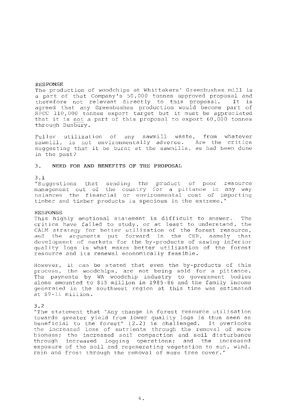#### RESPONSE

The production of woodchips at Whittakers' Greenbushes mill is a part of that Company's 50,000 tonnes approved proposal and<br>therefore not relevant directly to this proposal. It is therefore not relevant directly to this proposal. agreed that any Greenbushes production would become part of SPCC 110,000 tonnes export target but it must be appreciated that it is not a part of this proposal to export 60,000 tonnes through Bunbury.

Fuller utilization of ruffer utilization of  $\lim_{T \to 0} \lim_{n \to \infty} \lim_{n \to \infty} \lim_{n \to \infty} \lim_{n \to \infty} \frac{1}{n}$ sawmill, is not environmentally adverse. All the clittes<br>suggesting that it be burnt at the sawmills, as had been done in the past? any sawmill waste, from whatever

#### 3. NEED FOR AND BENEFITS OF THE PROPOSAL

3.1<br>"Suggestions that" ''Suggestions that sending the product of poor resource management out of the country for a pittance in any way balances the financial or environmental cost of importing timber and timber products is specious in the extreme. <sup>1</sup> '

#### RESPONSE

This highly emotional statement is difficult to answer. The critics have failed to study, or at least to understand, the CALM strategy for better utilization of the forest resource,<br>and the arguments put forward in the CER, namely that the arguments put forward in development of markets for the by-products of sawing inferior quaLity logs is what makes better utilization of the forest resource and its renewal economically feasible.

However, it can be stated that even the by-products of this process, the woodchips, are not being sold for a pittance. The payments by WA woodchip industry to government bodies alone amounted to \$15 million in 1985-86 and the family income generated 1n the southwest region at this time was estimated at \$9-11 million.

''The statement that ''Any change in forest resource utilisation towards greater yield from lower quality logs is thus seen as beneficial to the forest" ( 2. 2) is challenged. It overlooks the increased loss of nutrients through the removal of more biomass; the increased soil compaction and soil disturbance through increased logging operations; and the increased exposure of the soil and regenerating vegetation to sun, wind, rain and frost through the removal of more tree cover."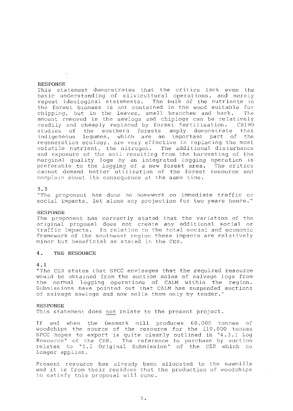#### RESPONSE

 $\mathcal{L}_{\text{max}}$  , where  $\mathcal{L}_{\text{max}}$ 

This statement demonstrates that the critics lack even the basic understanding of silvicultural operations, and merely repeat ideological statements. The bulk of the nutrients in the forest biomass is not contained in the wood suitable for<br>chipping, but in the leaves, small branches and bark. The chipping, but in the leaves, small branches and bark. amount removed in the sawlogs and chiplogs can be relatively readily and cheaply replaced by forest fertilisation. CSIRO readily and cheaply replaced by forest fertilisation. CSIRO<br>studies of the southern forests amply demonstrate that studies of the southern forests amply demonstrate<br>indigeneous legumes, which are an important part of legumes, which are an important part of the regeneration ecology, are very effective in replacing the most<br>volatile nutrient, the nitrogen. The additional disturbance volatile nutrient, the nitrogen. and exposure of the soil resulting from the harvesting of the marginal quality logs by an integrated logging operation is<br>preferable to the logging of a new forest area. The critics preferable to the logging of a new forest area. cannot demand better utilization of the forest resource and complain about its consequence at the same time.

#### $3.3$

"The proponent has done no homework on immediate traffic or social impacts, let alone any projection for two years hence."

#### RESPONSE

The proponent has correctly stated that the variation of the original proposal does not create any additional social or traffic impacts. In relation to the total social and economic framework of the southwest region these impacts are relatively minor but beneficial as stated in the CER.

#### 4. THE RESOURCE

#### 4.1

''The CER states that SPCC envisages that the required resource would be obtained from the auction sales of salvage logs from the normal logging operations of CALM within the region. Submissions have pointed out that CALM has suspended auctions of salvage sawlogs and now sells them only by tender."

#### RESPONSE

This statement does not relate to the present project.

If and when the Denmark mill produces 60,000 tonnes of wood chips the source of the resource for the 110,000 tonnes SPCC hopes to export is quite clearly outlined in  $"4.3.1$  Log Resource" of the CER. The reference to purchase by auction relates to "l.l Original Submission" of the CER which no longer applies.

Present resource has already been allocated to the sawmills and it is from their residues that the production of woodchips to satisfy this proposal will come.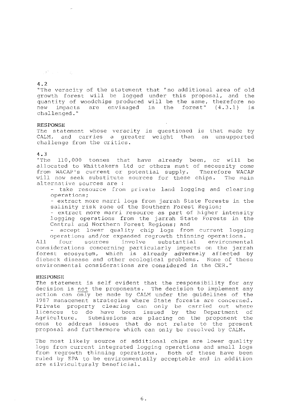### $\label{eq:1} \mathbb{E}_{\mathbf{z}}[\mathbf{x}^{\mathbf{X}}] \mathbb{E}_{\mathbf{z}}[\mathbf{x}^{\mathbf{X}}] = \mathbb{E}_{\mathbf{z}}[\mathbf{x}^{\mathbf{X}}]$

#### 4.2

"The veracity of the statement that ''no additional area of old growth forest will be logged quantity of woodchips produced new impacts are envisaged challenged." under this proposal, and the will be the same, therefore no in the forest" (4.3.1) is

#### RESPONSE

The statement whose veracity is questioned is that made by CALM, and carries a greater weight than an unsupported challenge from the critics.

 $4.3$ <br>"The ll0,000 tonnes that have already been, or will be allocated to Whittakers Ltd or others must of necessity come<br>from WACAP's current or potential supply. Therefore WACAP from WACAP's current or potential supply. Therefore WACAP<br>will now seek substitute sources for these chips. The main will now seek substitute sources for these chips. alternative sources are :

- take resource from private land logging and clearing operations;

- extract more marri logs from jarrah State Forests in the salinity risk zone of the Southern Forest Region;

extract more marri resource as part of higher intensity logging operations from the jarrah State Forests in the Central and Northern Forest Regions; and

accept lower quality chip logs from current logging operations and/or expanded regrowth thinning operations.

All four sources involve substantial environmental All four sources involve substantial environmental<br>considerations concerning particularly impacts on the jarrah forest ecosystem, which is already adversely affected by dieback disease and other ecological problems. None of these environmental considerations are considered in the CER."

#### RESPONSE

The statement is self evident that the responsibility for any decision is <u>not</u> the proponents. The decision to implement any action can only be made by CALM under the guidelines of the 1987 management strategies where State forests are concerned. Private property clearing can only be carr.ied out where licences to do have been issued by the Department of Agriculture. Submissions are placing on the proponent the onus to address issues that do not relate to the present proposal and furthermore which can only be resolved by CALM.

The most likely source of additional chips are lower quality logs from current integrated logging operations and small logs from regrowth thinning operations. Both of these have been ruled by EPA to be environmentally acceptable and in addition are silviculturaly beneficial.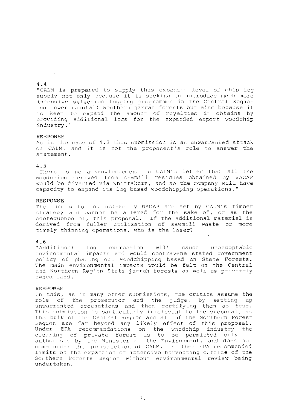#### 4.4

 $\label{eq:1} \frac{1}{\sqrt{2\pi}}\left(\frac{1}{\sqrt{2\pi}}\right)^{2/3}\frac{1}{\sqrt{2\pi}}\left(\frac{1}{\sqrt{2\pi}}\right)^{2/3}.$ 

"CALM is prepared to supply this expanded level of chip log supply not only because it is seeking to introduce much more intensive selection logging programmes in the Central Region and lower rainfall Southern jarrah forests but also because it is keen to expand the amount of royalties it obtains by providing additional logs for the expanded export woodchip industry."

#### RESPONSE

As in the case of 4.3 this submission is an unwarranted attack As in the case of 4.5 this submission is an unwarranted attack<br>on CALM, and it is not the proponent's role to answer the statement.

#### 4.5

<sup>11</sup> There is no acknowledgement in CALM's letter that: all the woodchips derived from sawmill residues obtained by WACAP would be diverted via Whittakcrs, and so the company will have capacity to expand its log based woodchipping operations."

#### RESPONSE

The limits to log uptake by WACAP are set by CALM's timber strategy and cannot be altered for the sake of, or as the consequence of, this proposal. If the additional material is derived from fuller utilization of sawmill waste or more timely thinning operations, who is the loser?

#### 4.6

"Additional log extraction will cause unacceptable environmental impacts and would contravene stated government policy of phasing out wood chipping based on State Forests. The main environmental impacts would be felt on the Central and Northern Region State jarrah forests as well as privately owned land."

#### **RESPONSE**

In this, as in many other submissions, the critics assume the role of the prosecutor and the judge, by setting up unwarranted accusations and then certifying them as true. This submission is particularly irrelevant to the proposal, as the bulk of the Central Region and all of the Northern Forest Region are far beyond any likely effect of this proposal.<br>Under EPA recommendations on the woodchip industry the recommendations on the woodchip industry the<br>f private forest is to be permitted only if clearing of private forest is to authorised by the Minister of the Environment, and does not come under the jurisdiction of CALM. Further EPA recommended limits on the expansion of intensive harvesting outside of the Southern Forests Region without environmental review being undertaken.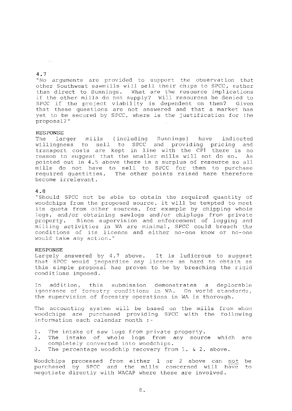#### 4.7

 $\sim$  erg s  $^{-1}$ 

"No arguments are provided to support the observation that other Southwest sawmills will sell their chips to SPCC, rather than direct to Bunnings. What are the resource implications if the other mills do not supply? Will resources be denied to<br>SPCC if the project viability is dependent on them? Given SPCC if the project viability is dependent on them? that these questions are not answered and that a market has yet to be secured by SPCC, where is the justification for the proposal?"

#### **RESPONSE**

The larger mills (including Bunnings) have indicated<br>willingness to sell to SPCC and providing pricing and willingness to sell to SPCC and providing pricing and transport costs are kept in line with the CPI there is no reason to suggest that the smaller mills will not do so. As pointed out in 4.5 above there is a surplus of resource so all mills do not have to sell to SPCC for them to purchase required quantities. The other points raised here therefore become irrelevant.

#### 4.8

"Should SPCC not be able to obtain the required quantity of woodchips from the proposed source, it will be tempted to meet its quota from other sources, for example by chipping whole logs, and/or obtaining sawlogs and/or chiplogs from private<br>property. Since supervision and enforcement of logging and Since supervision and enforcement of logging and milling activities in WA are minimal, SPCC could breach the conditions of its licence and either no-one know or no-one would take any action."

#### RESPONSE

Largely answered by 4. 7 above. It is ludicrous to suggest that SPCC would jeopardise any licence as hard to obtain as this simple proposal has proven to be by breaching the rigid conditions imposed.

In addition, this submission demonstrates a deplorable<br>ignorance of forestry conditions in WA. On world standards, ignorance of forestry conditions in WA. the supervision of forestry operations in WA is thorough.

The accounting system will be based on the mills from whom woodchips are purchased providing SPCC with the following information each calendar month :-

- 1. The intake of saw logs from private property.<br>2. The intake of whole logs from any sourc
- The intake of whole logs from any source which are completely converted into woodchips.
- 3. The percentage woodchip recovery from 1. & 2. above.

Woodchips processed from either 1 or 2 above can not purchased by SPCC and the mills concerned will have negotiate directly with WACAP where these are involved. be to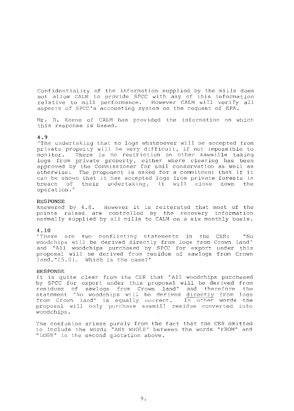Confidentiality of not allow CALM to the information supplied by the mills does provide SPCC with any of this information relative to mill performance. However CALM will verify all aspects of SPCC's accounting system on the request of EPA.

Mr. D. Keene of CALM has provided the information on which this response is based.

#### 4.9

 $\sim 10^{-1}$ 

"The undertaking that no logs whatsoever will be accepted from private property will be very difficult, if not impossible to<br>monitor. There is no restriction on other sawmills taking There is no restriction on other sawmills taking logs from private property, either where clearing has been approved by the Commissioner for soil conservation as well as otherwise. The proponent is asked for a commitment that if it can be shown that it has accepted logs frorn private forests in breach of operation." their undertaking, it will close down the

#### RESPONSE

Answered by 4.8. However it is reiterated that most of the points raised are controlled by the recovery information points farsed are concremed by the recovery information<br>normally supplied by all mills to CALM on a six monthly basis.

### 4.10

"There are two conflicting statements in the CER: "No woodchips will be derived directly from logs from crown land" and "All woodchips purchased by SPCC for export under this proposal will be derived from residue of sawlogs from Crown  $land,"(5.0)$ . Which is the case?"

#### RESPONSE

KLOIOWOL<br>It is quite clear from the CER that "All woodchips purchased by SPCC for export under this proposal will be derived from residues of sawlogs from Crown land" and therefore statement "No from Crown woodchips will be derived o woodcnips will be defived <u>difectly</u><br>land" is equally correct. In other from words proposal will only woodchips. equally purchase sawmill residue converted the logs the into

The confusion arises purely from the fact that the CER omitted to include the words "ANY WHOLE" between the words "FROM" and "LOGS" in the second quotation above.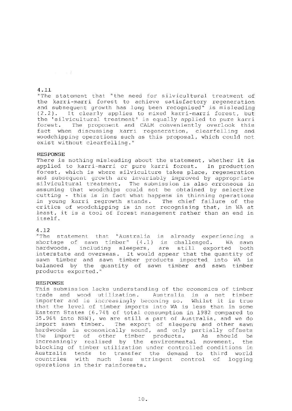#### 4.ll

"The statement that "the need for silvicultural treatment of the karri-marri forest to achieve satisfactory regeneration and subsequent growth has long been recognised" is misleading (2.2). It clearly applies to mixed karri-marri forest, but the 'silvicultural treatment' is equally applied to pure karri<br>forest. The proponent and CALM conveniently overlook this The proponent and CALM conveniently overlook this fact when discussing karri regeneration, clearfelling and woodchipping operations such as this proposal, which could not exist without clearfelling."

#### RESPONSE

There is nothing misleading about the statement, whether it is applied to karri-marri or pure karri forest. In production applied to karri-marri or pure karri forest. forest, which is where silviculture takes place, regeneration and subsequent growth are invariably improved by appropriate silvicultural treatment. The submission is also erroneous in assuming that woodchips could not be obtained by selective cutting - this is in fact what happens in thinning operations in young karri regrowth stands. The chief failure of the critics of woodchipping is in not recognising that, in WA at least, it is a tool of forest management rather than an end in itself.

# $4.12$ <br>"The

statement that "Australia is already experiencing a shortage of sawn timber"  $(4.1)$  is challenged. WA sawn shortage of sawn timper (4.1) is charlenged. WA sawn<br>hardwoods, including sleepers, are still exported both hardwoods, including sleepers, are still exported both<br>interstate and overseas. It would appear that the quantity of sawn timber and sawn timber products imported into Wn is balanced by the quantity of sawn timber and sawn timber products exported."

#### RESPONSE

This submission lacks understanding of the economics of timber trade and wood utilization. Australia is a net timber importer and is increasingly becoming so. Whilst it is true that the level of timber imports into WA is less than in some Eastern States (6.74% of total consumption in 1982 compared to 35.96% into NSW), we are still a part of Australia, and we do import sawn timber. The export of sleepers and other sawn The export of sleepers and other sawn hardwoods is economically sound, and only partially offsets<br>the import of other timber products. As should be other timber products. As should be<br>Lised by the environmental movement, the increasingly realised by the environmental movement, blocking of timber utilization under controlled conditions in Australia tends to transfer the demand to third world countries with much less stringent control of logging countries with much less st<br>operations in their rainforests.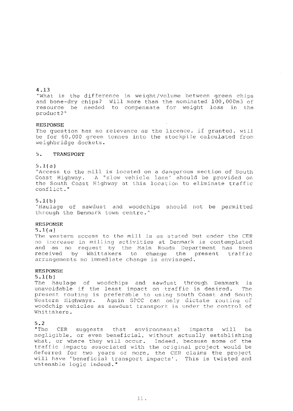#### 4 .l3

"What is the difference in weight/volume between green chips and bone-dry chips? Will more than the nominated 100,000m3 of resource be needed to compensate for weight loss in the product?"

#### RESPONSE

The question has no relevance as the licence, if granted, will be for 60,000 green tonnes into the stockpile calculated from weighbridge dockets.

#### 5. TRANSPORT

#### 5.l(a)

''Access to the mill is located on a dangerous section of South Coast Highway. A "slow vehicle lane" should be provided on the South Coast Highway at this location to eliminate traffic conflict."

#### S.l(b)

"Haulage of sawdust and woodchips should not be permitted through the Denmark town centre."

#### RESPONSE

#### 5.l(a)

The western access to the mill is as stated but under the CER no lncrease in milling activities at Denmark is contemplated and as no request by the Main Roads Department has been<br>received by Whittakers to change the present traffic received by Whittakers to change arrangements no immediate change is envisaged.

#### RESPONSE

#### S.l(b)

The haulage of woodchips and sawdust through Denmark is unavoidable if the least impact on traffic is desired. The and readers in the reader impact on craftic is accreated. The<br>present routing is preferable to using South Coast and South Western Highways. Again SPCC can only dictate routing of woodchip vehicles as sawdust transport is under the control of Whittakers.

 $5.2$ <br>The CER suggests negligible, or even beneficial, without actually establishing what, or where they will occur. Indeed, because some of the that environmental impacts will be traffic impacts associated with the original project would be deferred for two years or more, the CER claims the project will have 'beneficial transport impacts'. This is twisted and untenable logic indeed."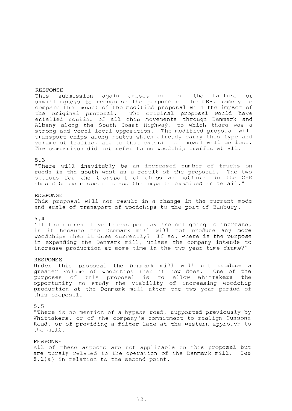#### RESPONSE

This submission again arises out of the failure or unwillingness to recognise the purpose of the CER, namely to compare the impact of the modified proposal with the impact of the original proposal. The original proposal would have entailed routing of all chip movements through Denmark and Albany along the South Coast Highway, to which there was a strong and vocal local opposition. The modified proposal will transport chips along routes which already carry this type and volume of traffic, and to that extent its impact will be less. The comparison did not refer to no woodchip traffic at all.

#### 5.3

"There will inevitably be an increased number of trucks on roads in the south-west as a result of the proposal. The two options for the transport should be more specific and of chips as outlined in the CER the impacts examined in detail."

#### RESPONSE

This proposal will not result in a change in the current mode and scale of transport of woodchips to the port of Bunbury.

#### 5.4

"If the current five trucks per day are not going to increase, is it because the Denmark mill will not produce any more woodchips than it does currently? If so, where is the purpose in expanding the Denmark mill, unless the company intends to increase production at some time in the two year time frame?"

#### RESPONSE

Under this proposal the Denmark mill will not produce a greater volume of woodchips than it now does. One of the<br>purposes of this proposal is to allow Whittakers the purposes of this proposal opportunity to study the viability of increasing woodchip production at the Denmark mill after the two year period of this proposal.

#### 5.5

"There is no mention of a bypass road, supported previously by Whittakers, or of the company's commitment to realign Cussons Road, or of providing a filter lane at the western approach to the mill."

#### **RESPONSE**

All of these aspects are not applicable to this proposal but are purely related to the operation of the Denmark mill. See are purely related to the operation of the Denmark mill. S.l(a) in relation to the second point.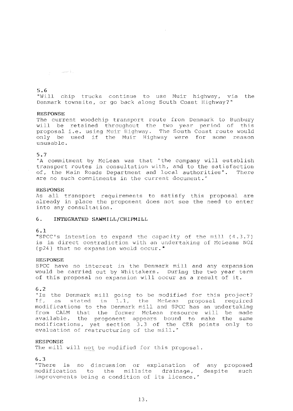$\label{eq:1} \lim_{\varepsilon\to 0} \delta \, d \, d^{\frac{1}{2} + \frac{1}{2}} \, \bigg\vert_{\mathcal{L}^1}$ 

#### 5.6

"Will chip trucks continue to use Muir highway, via the Denmark townsite, or go back along South Coast Highway?"

#### RESPONSE

The current woodchip transport route from Denmark to Bunbury will be retained throughout the two year period of this proposal i.e. using Muir Highway. The South Coast route would only be used if the Muir Highway were for some reason unusable.

#### 5.7

"A commitment by McLean was that "the company will establish transport routes in consultation with, and to the satisfaction<br>of, the Main Roads Department and local authorities". There of, the Main Roads Department and local authorities". There are no such commitments in the current document."

#### RESPONSE

As all transport requirements to satisfy this proposal are already in place the proponent does not see the need to enter into any consultation.

#### 6. INTEGRATED SAWMILL/CHIPMILL

#### 6.1

"SPCC 's intention to expand the capacity of the mill ( 4. 3. 7) is in direct contradiction with an undertaking of McLeans NOI (p24) that no expansion would occur."

#### **RESPONSE**

SPCC have no interest in the Denmark mill and any expanslon would be carried out by Whittakers. During the two year term of this proposal no expansion will occur as a result of it.

#### **6 .. 2**

"Is the Denmark mill going to be modified for this project?<br>If, as stated in 1.1, the McLean proposal required in 1.1, the McLean proposal modifications to the Denmark mill and SPCC has an undertaking from CALM that the former McLean resource will be made available, the proponent appears bound to make the same modifications, yet section 3.3 of the CER points only to evaluation of restructuring of the mill."

#### RESPONSE

The mill will not be modified for this proposal.

### 6.3

"There is no discussion or explanation of any proposed modification to the millsite drainage, improvements being a condition of its licence." despite such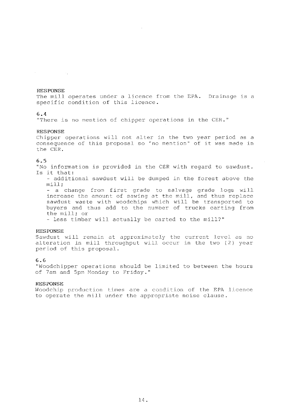#### RESPONSE

 $\sim 10^{11}$  and  $\sim 10^{11}$ 

The mill operates under a ljcence from the EPA. Drainage is a specific condition of this licence.

#### 6.4

"There is no mention of chipper operations in the CER.''

#### RESPONSE

Chipper operations will not alter in the two year period as a consequence of this proposal so "no mention'' of it was made in the CER.

#### 6.5

"No information is provided in the CER with regard to sawdust. Is it that:

- additional sawdust will be dumped in the forest above the **mill;** 

- a change from first grade to salvage grade logs will increase the amount of sawing at the mill, and thus replace sawdust waste with woodchips which will be transported to buyers and thus add to the number of trucks carting from the mill; or

- less timber will actually be carted to the mill?''

#### RESPONSE

Sawdust will remain at approximately the current level as no alteration in mill throughput will occur in the two (2) year period of this proposal.

### 6.6

''Woodchipper operations should be limited to between the hours of 7am and Spm Monday to Friday.''

#### RESPONSE

Woodchip production times are a condition of the EPA licence to operate the mill under the appropriate noise clause.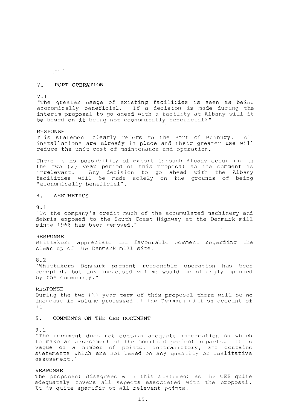$z_{1},\ldots z_{n}$  is  $\beta_{n}^{(1)}$  ,  $\beta_{n}^{(2)}$  . ( )  $\beta_{n}^{(2)}$ 

#### 7. PORT OPERATION

#### 7.1

"The greater usage of existing facilities is seen as being economically beneficial. If a decision is made during the interim proposal to go ahead with a facility at Albany will it be based on it being not economically beneficial?"

#### RESPONSE

This statement clearly refers to the Port of Bunbury. installations are already in place and their greater use will reduce the unit cost of maintenance and operation. AlJ

There is no possibility of export through Albany **occurring** in the two (2) year period of this proposal so the comment is irrelevant. Any decision to go ahead with the Albany facilities will be made solely on the grounds of being ''economically beneficial''.

#### 8. AESTHETICS

#### 8.1

"To the company's credit much of the accumulated machinery and debris exposed to the South Coast Highway at the Denmark mill since 1966 has been removed."

#### RESPONSE

Whittakers appreciate the favourable comment regarding the clean up of the Denmark mill site.

#### 8.2

''Whittakers Denmark present reasonable operation has been accepted, but any increased volume would be strongly opposed by the community."

#### RESPONSE

During the two (2) year term of this proposal there will be no increase in volume processed at the Denmark mill on account of it.

### 9. COMMENTS ON THE CER DOCUMENT

#### 9.1

"The document does not contain adequate information on which to make an assessment of the modified project impacts. It is vague on a number of points, contradictory, and contains statements which are not based on any quantity or qualitative assessment."

#### RESPONSE

The proponent disagrees with this statement as the CER quite adequately covers all aspects associated with the proposal. It is quite specific on all relevant points.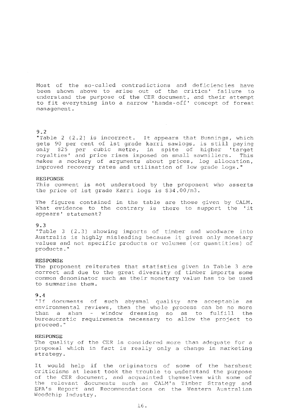Most of the so-called contradictions and deficiencies have been shown above to arise out of the critics' failure to understand the purpose of the CER document, and their attempt to fit everything into a narrow 'hands-off' concept of forest management.

#### 9.2

"Table 2 (2.2) is incorrect. It appears that Bunnings, which gets 90 per cent of lst grade karri sawlogs, is still paying<br>only \$25 per cubic metre, in spite of higher 'target only \$25 per cubic metre, in spite of higher royalties' and price rises imposed on small sawmillers. This makes a mockery of arguments about prices, log allocation, improved recovery rates and utilisation of low grade logs."

#### **RESPONSE**

This comment is not understood by the proponent who asserts the price of 1st grade Karri logs is \$34.00/m3.

The figures contained in the table are those given by CALM. Ine ligures contained in the table are those given by CALM.<br>What evidence to the contrary is there to support the 'it appears' statement?

#### 9.3

"Table 3 (2.3) showing imports of timber and woodware into Australia is highly misleading because it gives only monetary values and not specific products or volumes (or quantities) of products."

#### RESPONSE

The proponent reiterates that statistics given in Table 3 are correct and due to the great diversity of timber imports some common denominator such as their monetary value has to be used to summarise them.

# $9.4$ <br>"If

documents of such abysmal quality are acceptable as environmental reviews, then the whole process can be no more environmental leviews, then the whole process can be no more<br>than a sham - window dressing so as to fulfill the bureaucratic requirements necessary to allow the project to proceed."

#### **RESPONSE**

The quality of the CER is considered more than adequate for a proposal which in fact is really only a change in marketing strategy.

It would help if the originators of some of the harshest criticisms at least took the trouble to understand the purpose of the CER document, and acquainted themselves with some of the relevant documents such as CALM's Timber Strategy and EPA's Report and Recommendations on the Western Australian Woodchip Industry.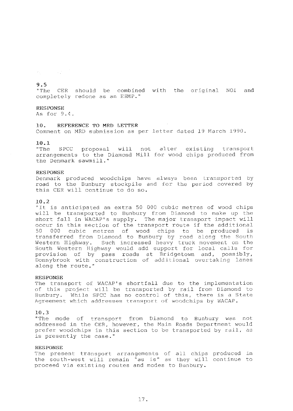## $\sigma_{\rm{E}} = 10^{11}$  and  $\sigma_{\rm{E}}$

#### 9.5

"The CER should be combined with the original NOI and completely redone as an ERMP."

#### RESPONSE

As for 9.4.

#### 10. REFERENCE TO MRD LETTER

Comment on MRD submission as per letter dated 19 March 1990.

# $10.1$ <br>"The

"The SPCC proposal will not alter existing transport "The SPCC proposal will not alter existing transport<br>arrangements to the Diamond Mill for wood chips produced from the Denmark sawmill."

#### RESPONSE

Denmark produced woodchips have always been Lransportcd by road to the Bunbury stockpile and for the period covered by this CER will continue to do so.

#### 10.2

"It is anticipated an extra 50 000 cubic metres of wood chips will be transported to Bunbury from Diamond to make up the short fall in WACAP's supply. The major transport impact will occur in this section of the transport route if the additional<br>50 000 cubic metres of wood chips to be produced is of wood chips to be produced transferred from Diamond to Bunbury by road along the South Western Highway. Such increased heavy truck movement on the South Western Highway would add support for local calls for provision of by pass roads at Bridgetown and, possibly, Donnybrook with construction of additional overtaking lanes along the route.''

#### RESPONSE

The transport of WACAP's shortfall due to the implementation of this project will be transported by rail from Diamond to bit will project with so cramsported by fair from Bramona to Agreement which addresses transport of woodchips by WACAP.

#### 10.3

"The mode of transport from Diamond to Bunbury was not addressed in the CER, however, the Main Roads Department would prefer woodchips in this section to be transported by rail, as is presently the case."

#### **RESPONSE**

The present transport arrangements of all chips produced in the south-west will remain "as is" as they will continue to proceed via existing routes and modes to Bunbury.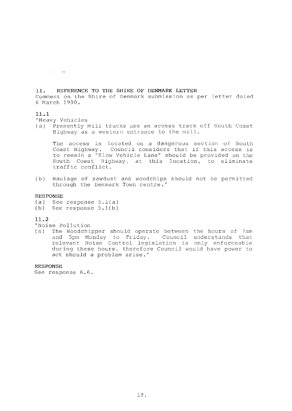### $\label{eq:2} \mathcal{L}_{\text{max}} = \mathcal{L}_{\text{max}} = \frac{1}{2} \sum_{i=1}^{N} \frac{1}{2} \sum_{i=1}^{N} \frac{1}{2} \sum_{i=1}^{N} \frac{1}{2} \sum_{i=1}^{N} \frac{1}{2} \sum_{i=1}^{N} \frac{1}{2} \sum_{i=1}^{N} \frac{1}{2} \sum_{i=1}^{N} \frac{1}{2} \sum_{i=1}^{N} \frac{1}{2} \sum_{i=1}^{N} \frac{1}{2} \sum_{i=1}^{N} \frac{1}{2} \sum_{i=1}^{N} \frac$

#### ll. REFERENCE TO THE SHIRE OF DENMARK LETTER

Comment on the Shire of Denmark submission as per letter dated 6 March 1990.

#### ll.l

"Heavy Vehicles<br>(a) Presently n

Presently mill trucks use an access track off South Coast Highway as a western entrance to the mill.

The access is located on a dangerous section of South Coast Highway. Council considers that if this access is to remain a ''Slow Vehicle Lane" should be provided on the South Coast Highway, at this location, to eliminate traffic conflict.

(b) Haulage of sawdust and woodchips should not be permitted through the Denmark Town centre."

#### RESPONSE

(a) See response S.l(a)

(b) See response S.l(b)

#### 11.2

''Noise Pollution

(a) The Woodchipper should operate between the hours of 7am<br>and 5pm Monday to Friday. Council understands that and 5pm Monday to Friday. relevant Noise Control legislation is only enforceable during these hours, therefore Council would have power to act should a problem arise."

#### RESPONSE

See response 6.6.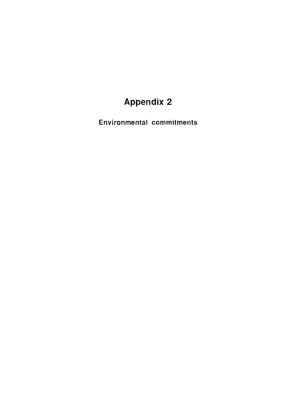# **Appendix 2**

Environmental commitments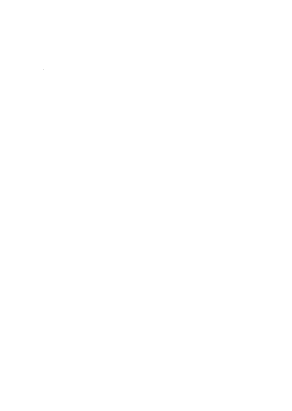$\label{eq:2.1} \frac{1}{\sqrt{2}}\left(\frac{1}{\sqrt{2}}\right)^{2} \left(\frac{1}{\sqrt{2}}\right)^{2} \left(\frac{1}{\sqrt{2}}\right)^{2} \left(\frac{1}{\sqrt{2}}\right)^{2} \left(\frac{1}{\sqrt{2}}\right)^{2} \left(\frac{1}{\sqrt{2}}\right)^{2} \left(\frac{1}{\sqrt{2}}\right)^{2} \left(\frac{1}{\sqrt{2}}\right)^{2} \left(\frac{1}{\sqrt{2}}\right)^{2} \left(\frac{1}{\sqrt{2}}\right)^{2} \left(\frac{1}{\sqrt{2}}\right)^{2} \left(\$